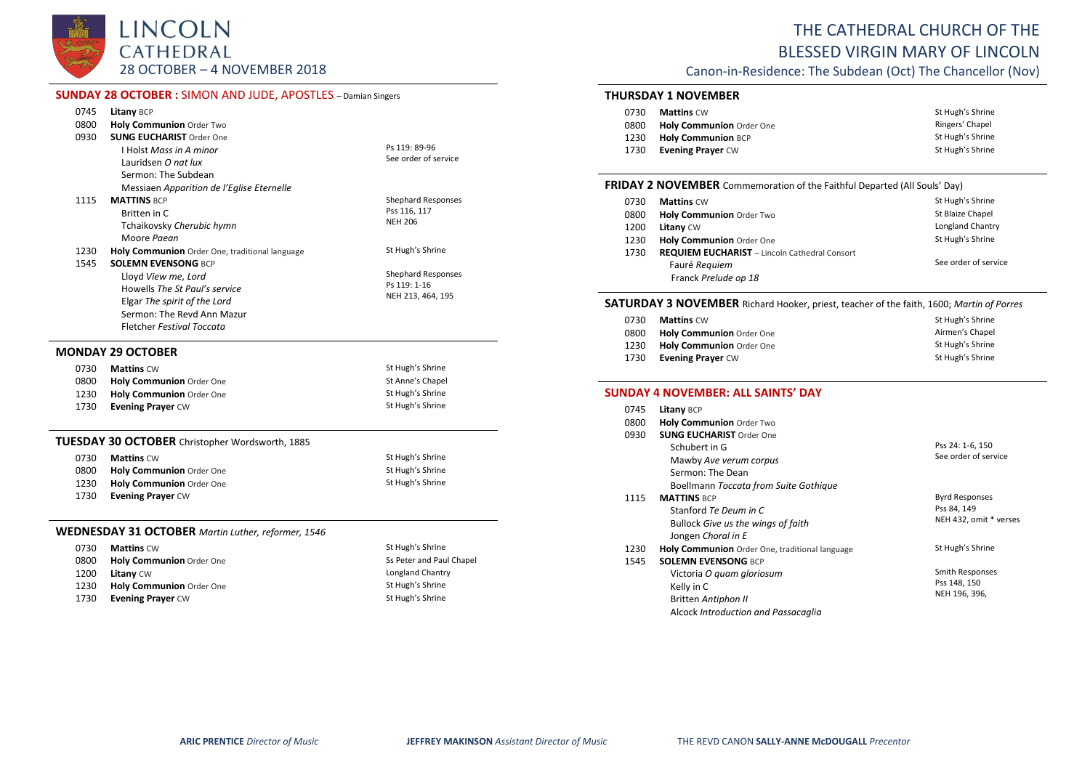LINCOLN CATHEDRAL 28 OCTOBER – 4 NOVEMBER 2018

# **SUNDAY 28 OCTOBER :** SIMON AND JUDE, APOSTLES – Damian Singers

| 0745 | <b>Litany BCP</b>                                      |                           |
|------|--------------------------------------------------------|---------------------------|
| 0800 | Holy Communion Order Two                               |                           |
| 0930 | <b>SUNG EUCHARIST Order One</b>                        |                           |
|      | <b>I Holst Mass in A minor</b>                         | Ps 119: 89-96             |
|      | Lauridsen O nat lux                                    | See order of service      |
|      | Sermon: The Subdean                                    |                           |
|      | Messiaen Apparition de l'Eglise Eternelle              |                           |
| 1115 | <b>MATTINS BCP</b>                                     | <b>Shephard Responses</b> |
|      | Britten in C                                           | Pss 116, 117              |
|      | Tchaikovsky Cherubic hymn                              | <b>NEH 206</b>            |
|      | Moore Paean                                            |                           |
| 1230 | Holy Communion Order One, traditional language         | St Hugh's Shrine          |
| 1545 | <b>SOLEMN EVENSONG BCP</b>                             |                           |
|      | Lloyd View me. Lord                                    | <b>Shephard Responses</b> |
|      | Howells The St Paul's service                          | Ps 119: 1-16              |
|      | Elgar The spirit of the Lord                           | NEH 213, 464, 195         |
|      | Sermon: The Revd Ann Mazur                             |                           |
|      | <b>Fletcher Festival Toccata</b>                       |                           |
|      | <b>MONDAY 29 OCTOBER</b>                               |                           |
| 0730 | <b>Mattins CW</b>                                      | St Hugh's Shrine          |
| 0800 | Holy Communion Order One                               | St Anne's Chapel          |
| 1230 | Holy Communion Order One                               | St Hugh's Shrine          |
| 1730 | <b>Evening Prayer CW</b>                               | St Hugh's Shrine          |
|      | <b>TUESDAY 30 OCTOBER</b> Christopher Wordsworth, 1885 |                           |
|      | $0720$ $M$ stine $C_M$                                 | St Hugh's Shring          |

| 0730 | <b>Mattins CW</b>               | St Hugh's Shrine |
|------|---------------------------------|------------------|
| 0800 | <b>Holy Communion Order One</b> | St Hugh's Shrine |
| 1230 | Holy Communion Order One        | St Hugh's Shrine |
| 1730 | <b>Evening Praver CW</b>        |                  |

# **WEDNESDAY 31 OCTOBER** *Martin Luther, reformer, 1546*

| 0730 | <b>Mattins CW</b>               | St Hugh's Shrine         |
|------|---------------------------------|--------------------------|
| 0800 | <b>Holy Communion Order One</b> | Ss Peter and Paul Chapel |
| 1200 | <b>Litany CW</b>                | Longland Chantry         |
| 1230 | Holy Communion Order One        | St Hugh's Shrine         |
| 1730 | <b>Evening Prayer CW</b>        | St Hugh's Shrine         |

# THE CATHEDRAL CHURCH OF THE BLESSED VIRGIN MARY OF LINCOLN

Canon-in-Residence: The Subdean (Oct) The Chancellor (Nov)

# **THURSDAY 1 NOVEMBER**

| 0730 | <b>Mattins CW</b>         | St Hugh's Shrine |
|------|---------------------------|------------------|
| 0800 | Holy Communion Order One  | Ringers' Chapel  |
| 1230 | <b>Holy Communion BCP</b> | St Hugh's Shrine |
| 1730 | <b>Evening Praver CW</b>  | St Hugh's Shrine |

#### **FRIDAY 2 NOVEMBER** Commemoration of the Faithful Departed (All Souls' Day)

| 0730 | <b>Mattins CW</b>                                    | St Hugh's Shrine     |
|------|------------------------------------------------------|----------------------|
| 0800 | Holy Communion Order Two                             | St Blaize Chapel     |
| 1200 | <b>Litany CW</b>                                     | Longland Chantry     |
| 1230 | Holy Communion Order One                             | St Hugh's Shrine     |
| 1730 | <b>REQUIEM EUCHARIST</b> - Lincoln Cathedral Consort |                      |
|      | Fauré Requiem                                        | See order of service |
|      | Franck Prelude op 18                                 |                      |

#### **SATURDAY 3 NOVEMBER** Richard Hooker, priest, teacher of the faith, 1600; *Martin of Porres*

| 0730 | <b>Mattins</b> CW               | St Hugh's Shrine |
|------|---------------------------------|------------------|
| 0800 | <b>Holy Communion Order One</b> | Airmen's Chapel  |
| 1230 | Holy Communion Order One        | St Hugh's Shrine |
| 1730 | <b>Evening Praver CW</b>        | St Hugh's Shrine |

### **SUNDAY 4 NOVEMBER: ALL SAINTS' DAY**

| 0745 | <b>Litany BCP</b>                              |                        |
|------|------------------------------------------------|------------------------|
| 0800 | <b>Holy Communion Order Two</b>                |                        |
| 0930 | <b>SUNG EUCHARIST Order One</b>                |                        |
|      | Schubert in G                                  | Pss 24: 1-6, 150       |
|      | Mawby Ave verum corpus                         | See order of service   |
|      | Sermon: The Dean                               |                        |
|      | Boellmann Toccata from Suite Gothique          |                        |
| 1115 | <b>MATTINS BCP</b>                             | <b>Byrd Responses</b>  |
|      | Stanford Te Deum in C                          | Pss 84, 149            |
|      | Bullock Give us the wings of faith             | NEH 432, omit * verses |
|      | Jongen Choral in E                             |                        |
| 1230 | Holy Communion Order One, traditional language | St Hugh's Shrine       |
| 1545 | <b>SOLEMN EVENSONG BCP</b>                     |                        |
|      | Victoria O quam gloriosum                      | Smith Responses        |
|      | Kelly in C                                     | Pss 148, 150           |
|      | Britten Antiphon II                            | NEH 196, 396,          |
|      | Alcock Introduction and Passacaalia            |                        |